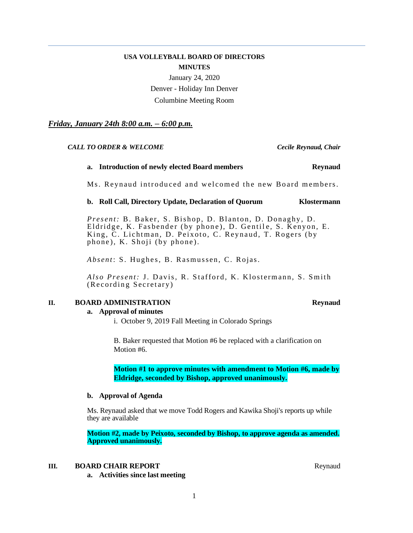# **USA VOLLEYBALL BOARD OF DIRECTORS MINUTES**

January 24, 2020 Denver - Holiday Inn Denver Columbine Meeting Room

*Friday, January 24th 8:00 a.m. – 6:00 p.m.* 

# *CALL TO ORDER & WELCOME Cecile Reynaud, Chair*

# **a. Introduction of newly elected Board members Reynaud**

Ms. Reynaud introduced and welcomed the new Board members.

# **b. Roll Call, Directory Update, Declaration of Quorum Klostermann**

*Present:* B. Baker, S. Bishop, D. Blanton, D. Donaghy, D. Eldridge, K. Fasbender (by phone), D. Gentile, S. Kenyon, E. King, C. Lichtman, D. Peixoto, C. Reynaud, T. Rogers (by phone), K. Shoji (by phone).

*Absent*: S. Hughes, B. Rasmussen, C. Rojas.

*Also Present: J. Davis, R. Stafford, K. Klostermann, S. Smith* (Recording Secretary)

# **II. BOARD ADMINISTRATION Reynaud**

# **a. Approval of minutes**

i. October 9, 2019 Fall Meeting in Colorado Springs

B. Baker requested that Motion #6 be replaced with a clarification on Motion #6.

**Motion #1 to approve minutes with amendment to Motion #6, made by Eldridge, seconded by Bishop, approved unanimously.**

# **b. Approval of Agenda**

Ms. Reynaud asked that we move Todd Rogers and Kawika Shoji's reports up while they are available

**Motion #2, made by Peixoto, seconded by Bishop, to approve agenda as amended. Approved unanimously.**

# **III. BOARD CHAIR REPORT** Reynaud

**a. Activities since last meeting**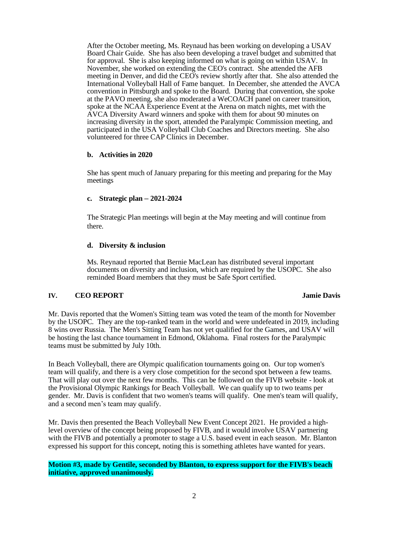After the October meeting, Ms. Reynaud has been working on developing a USAV Board Chair Guide. She has also been developing a travel budget and submitted that for approval. She is also keeping informed on what is going on within USAV. In November, she worked on extending the CEO's contract. She attended the AFB meeting in Denver, and did the CEO's review shortly after that. She also attended the International Volleyball Hall of Fame banquet. In December, she attended the AVCA convention in Pittsburgh and spoke to the Board. During that convention, she spoke at the PAVO meeting, she also moderated a WeCOACH panel on career transition, spoke at the NCAA Experience Event at the Arena on match nights, met with the AVCA Diversity Award winners and spoke with them for about 90 minutes on increasing diversity in the sport, attended the Paralympic Commission meeting, and participated in the USA Volleyball Club Coaches and Directors meeting. She also volunteered for three CAP Clinics in December.

# **b. Activities in 2020**

She has spent much of January preparing for this meeting and preparing for the May meetings

# **c. Strategic plan – 2021-2024**

The Strategic Plan meetings will begin at the May meeting and will continue from there.

# **d. Diversity & inclusion**

Ms. Reynaud reported that Bernie MacLean has distributed several important documents on diversity and inclusion, which are required by the USOPC. She also reminded Board members that they must be Safe Sport certified.

# **IV. CEO REPORT Jamie Davis**

Mr. Davis reported that the Women's Sitting team was voted the team of the month for November by the USOPC. They are the top-ranked team in the world and were undefeated in 2019, including 8 wins over Russia. The Men's Sitting Team has not yet qualified for the Games, and USAV will be hosting the last chance tournament in Edmond, Oklahoma. Final rosters for the Paralympic teams must be submitted by July 10th.

In Beach Volleyball, there are Olympic qualification tournaments going on. Our top women's team will qualify, and there is a very close competition for the second spot between a few teams. That will play out over the next few months. This can be followed on the FIVB website - look at the Provisional Olympic Rankings for Beach Volleyball. We can qualify up to two teams per gender. Mr. Davis is confident that two women's teams will qualify. One men's team will qualify, and a second men's team may qualify.

Mr. Davis then presented the Beach Volleyball New Event Concept 2021. He provided a highlevel overview of the concept being proposed by FIVB, and it would involve USAV partnering with the FIVB and potentially a promoter to stage a U.S. based event in each season. Mr. Blanton expressed his support for this concept, noting this is something athletes have wanted for years.

# **Motion #3, made by Gentile, seconded by Blanton, to express support for the FIVB's beach initiative, approved unanimously.**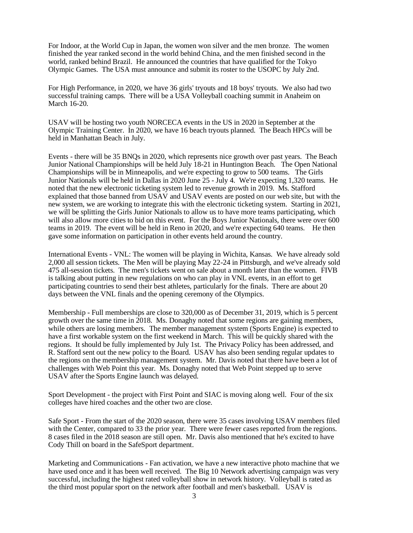For Indoor, at the World Cup in Japan, the women won silver and the men bronze. The women finished the year ranked second in the world behind China, and the men finished second in the world, ranked behind Brazil. He announced the countries that have qualified for the Tokyo Olympic Games. The USA must announce and submit its roster to the USOPC by July 2nd.

For High Performance, in 2020, we have 36 girls' tryouts and 18 boys' tryouts. We also had two successful training camps. There will be a USA Volleyball coaching summit in Anaheim on March 16-20.

USAV will be hosting two youth NORCECA events in the US in 2020 in September at the Olympic Training Center. In 2020, we have 16 beach tryouts planned. The Beach HPCs will be held in Manhattan Beach in July.

Events - there will be 35 BNQs in 2020, which represents nice growth over past years. The Beach Junior National Championships will be held July 18-21 in Huntington Beach. The Open National Championships will be in Minneapolis, and we're expecting to grow to 500 teams. The Girls Junior Nationals will be held in Dallas in 2020 June 25 - July 4. We're expecting 1,320 teams. He noted that the new electronic ticketing system led to revenue growth in 2019. Ms. Stafford explained that those banned from USAV and USAV events are posted on our web site, but with the new system, we are working to integrate this with the electronic ticketing system. Starting in 2021, we will be splitting the Girls Junior Nationals to allow us to have more teams participating, which will also allow more cities to bid on this event. For the Boys Junior Nationals, there were over 600 teams in 2019. The event will be held in Reno in 2020, and we're expecting 640 teams. He then gave some information on participation in other events held around the country.

International Events - VNL: The women will be playing in Wichita, Kansas. We have already sold 2,000 all session tickets. The Men will be playing May 22-24 in Pittsburgh, and we've already sold 475 all-session tickets. The men's tickets went on sale about a month later than the women. FIVB is talking about putting in new regulations on who can play in VNL events, in an effort to get participating countries to send their best athletes, particularly for the finals. There are about 20 days between the VNL finals and the opening ceremony of the Olympics.

Membership - Full memberships are close to 320,000 as of December 31, 2019, which is 5 percent growth over the same time in 2018. Ms. Donaghy noted that some regions are gaining members, while others are losing members. The member management system (Sports Engine) is expected to have a first workable system on the first weekend in March. This will be quickly shared with the regions. It should be fully implemented by July 1st. The Privacy Policy has been addressed, and R. Stafford sent out the new policy to the Board. USAV has also been sending regular updates to the regions on the membership management system. Mr. Davis noted that there have been a lot of challenges with Web Point this year. Ms. Donaghy noted that Web Point stepped up to serve USAV after the Sports Engine launch was delayed.

Sport Development - the project with First Point and SIAC is moving along well. Four of the six colleges have hired coaches and the other two are close.

Safe Sport - From the start of the 2020 season, there were 35 cases involving USAV members filed with the Center, compared to 33 the prior year. There were fewer cases reported from the regions. 8 cases filed in the 2018 season are still open. Mr. Davis also mentioned that he's excited to have Cody Thill on board in the SafeSport department.

Marketing and Communications - Fan activation, we have a new interactive photo machine that we have used once and it has been well received. The Big 10 Network advertising campaign was very successful, including the highest rated volleyball show in network history. Volleyball is rated as the third most popular sport on the network after football and men's basketball. USAV is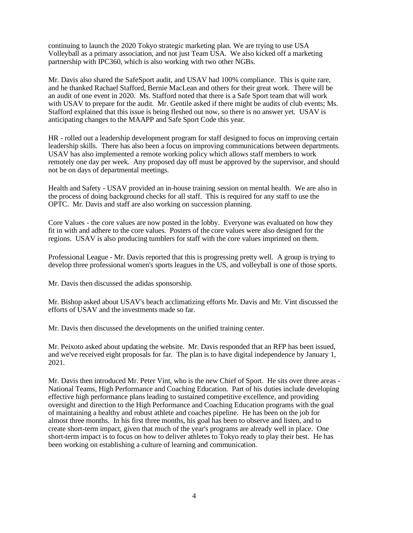continuing to launch the 2020 Tokyo strategic marketing plan. We are trying to use USA Volleyball as a primary association, and not just Team USA. We also kicked off a marketing partnership with IPC360, which is also working with two other NGBs.

Mr. Davis also shared the SafeSport audit, and USAV had 100% compliance. This is quite rare, and he thanked Rachael Stafford, Bernie MacLean and others for their great work. There will be an audit of one event in 2020. Ms. Stafford noted that there is a Safe Sport team that will work with USAV to prepare for the audit. Mr. Gentile asked if there might be audits of club events; Ms. Stafford explained that this issue is being fleshed out now, so there is no answer yet. USAV is anticipating changes to the MAAPP and Safe Sport Code this year.

HR - rolled out a leadership development program for staff designed to focus on improving certain leadership skills. There has also been a focus on improving communications between departments. USAV has also implemented a remote working policy which allows staff members to work remotely one day per week. Any proposed day off must be approved by the supervisor, and should not be on days of departmental meetings.

Health and Safety - USAV provided an in-house training session on mental health. We are also in the process of doing background checks for all staff. This is required for any staff to use the OPTC. Mr. Davis and staff are also working on succession planning.

Core Values - the core values are now posted in the lobby. Everyone was evaluated on how they fit in with and adhere to the core values. Posters of the core values were also designed for the regions. USAV is also producing tumblers for staff with the core values imprinted on them.

Professional League - Mr. Davis reported that this is progressing pretty well. A group is trying to develop three professional women's sports leagues in the US, and volleyball is one of those sports.

Mr. Davis then discussed the adidas sponsorship.

Mr. Bishop asked about USAV's beach acclimatizing efforts Mr. Davis and Mr. Vint discussed the efforts of USAV and the investments made so far.

Mr. Davis then discussed the developments on the unified training center.

Mr. Peixoto asked about updating the website. Mr. Davis responded that an RFP has been issued, and we've received eight proposals for far. The plan is to have digital independence by January 1, 2021.

Mr. Davis then introduced Mr. Peter Vint, who is the new Chief of Sport. He sits over three areas - National Teams, High Performance and Coaching Education. Part of his duties include developing effective high performance plans leading to sustained competitive excellence, and providing oversight and direction to the High Performance and Coaching Education programs with the goal of maintaining a healthy and robust athlete and coaches pipeline. He has been on the job for almost three months. In his first three months, his goal has been to observe and listen, and to create short-term impact, given that much of the year's programs are already well in place. One short-term impact is to focus on how to deliver athletes to Tokyo ready to play their best. He has been working on establishing a culture of learning and communication.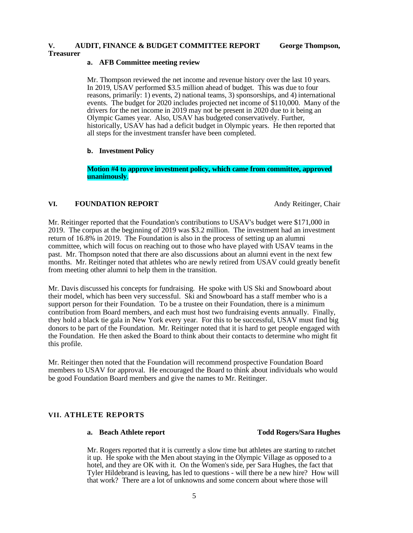# **V. AUDIT, FINANCE & BUDGET COMMITTEE REPORT George Thompson,**

# **Treasurer**

# **a. AFB Committee meeting review**

Mr. Thompson reviewed the net income and revenue history over the last 10 years. In 2019, USAV performed \$3.5 million ahead of budget. This was due to four reasons, primarily: 1) events, 2) national teams, 3) sponsorships, and 4) international events. The budget for 2020 includes projected net income of \$110,000. Many of the drivers for the net income in 2019 may not be present in 2020 due to it being an Olympic Games year. Also, USAV has budgeted conservatively. Further, historically, USAV has had a deficit budget in Olympic years. He then reported that all steps for the investment transfer have been completed.

# **b. Investment Policy**

**Motion #4 to approve investment policy, which came from committee, approved unanimously**.

# **VI. FOUNDATION REPORT** Andy Reitinger, Chair

Mr. Reitinger reported that the Foundation's contributions to USAV's budget were \$171,000 in 2019. The corpus at the beginning of 2019 was \$3.2 million. The investment had an investment return of 16.8% in 2019. The Foundation is also in the process of setting up an alumni committee, which will focus on reaching out to those who have played with USAV teams in the past. Mr. Thompson noted that there are also discussions about an alumni event in the next few months. Mr. Reitinger noted that athletes who are newly retired from USAV could greatly benefit from meeting other alumni to help them in the transition.

Mr. Davis discussed his concepts for fundraising. He spoke with US Ski and Snowboard about their model, which has been very successful. Ski and Snowboard has a staff member who is a support person for their Foundation. To be a trustee on their Foundation, there is a minimum contribution from Board members, and each must host two fundraising events annually. Finally, they hold a black tie gala in New York every year. For this to be successful, USAV must find big donors to be part of the Foundation. Mr. Reitinger noted that it is hard to get people engaged with the Foundation. He then asked the Board to think about their contacts to determine who might fit this profile.

Mr. Reitinger then noted that the Foundation will recommend prospective Foundation Board members to USAV for approval. He encouraged the Board to think about individuals who would be good Foundation Board members and give the names to Mr. Reitinger.

# **VII. ATHLETE REPORTS**

# **a. Beach Athlete report Todd Rogers/Sara Hughes**

Mr. Rogers reported that it is currently a slow time but athletes are starting to ratchet it up. He spoke with the Men about staying in the Olympic Village as opposed to a hotel, and they are OK with it. On the Women's side, per Sara Hughes, the fact that Tyler Hildebrand is leaving, has led to questions - will there be a new hire? How will that work? There are a lot of unknowns and some concern about where those will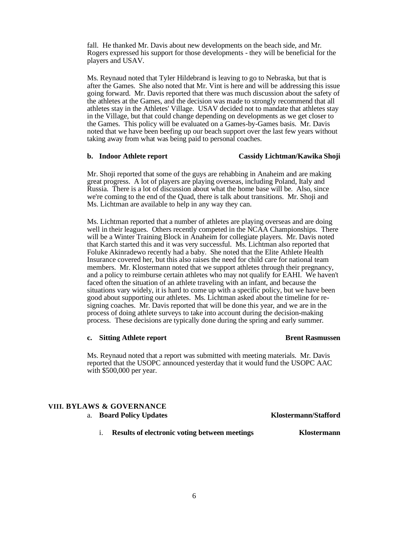fall. He thanked Mr. Davis about new developments on the beach side, and Mr. Rogers expressed his support for those developments - they will be beneficial for the players and USAV.

Ms. Reynaud noted that Tyler Hildebrand is leaving to go to Nebraska, but that is after the Games. She also noted that Mr. Vint is here and will be addressing this issue going forward. Mr. Davis reported that there was much discussion about the safety of the athletes at the Games, and the decision was made to strongly recommend that all athletes stay in the Athletes' Village. USAV decided not to mandate that athletes stay in the Village, but that could change depending on developments as we get closer to the Games. This policy will be evaluated on a Games-by-Games basis. Mr. Davis noted that we have been beefing up our beach support over the last few years without taking away from what was being paid to personal coaches.

# **b. Indoor Athlete report Cassidy Lichtman/Kawika Shoji**

Mr. Shoji reported that some of the guys are rehabbing in Anaheim and are making great progress. A lot of players are playing overseas, including Poland, Italy and Russia. There is a lot of discussion about what the home base will be. Also, since we're coming to the end of the Quad, there is talk about transitions. Mr. Shoji and Ms. Lichtman are available to help in any way they can.

Ms. Lichtman reported that a number of athletes are playing overseas and are doing well in their leagues. Others recently competed in the NCAA Championships. There will be a Winter Training Block in Anaheim for collegiate players. Mr. Davis noted that Karch started this and it was very successful. Ms. Lichtman also reported that Foluke Akinradewo recently had a baby. She noted that the Elite Athlete Health Insurance covered her, but this also raises the need for child care for national team members. Mr. Klostermann noted that we support athletes through their pregnancy, and a policy to reimburse certain athletes who may not qualify for EAHI. We haven't faced often the situation of an athlete traveling with an infant, and because the situations vary widely, it is hard to come up with a specific policy, but we have been good about supporting our athletes. Ms. Lichtman asked about the timeline for resigning coaches. Mr. Davis reported that will be done this year, and we are in the process of doing athlete surveys to take into account during the decision-making process. These decisions are typically done during the spring and early summer.

# **c.** Sitting Athlete report **Brent Rasmussen**

Ms. Reynaud noted that a report was submitted with meeting materials. Mr. Davis reported that the USOPC announced yesterday that it would fund the USOPC AAC with \$500,000 per year.

# **VIII. BYLAWS & GOVERNANCE**

a. **Board Policy Updates Klostermann/Stafford**

i. **Results of electronic voting between meetings Klostermann**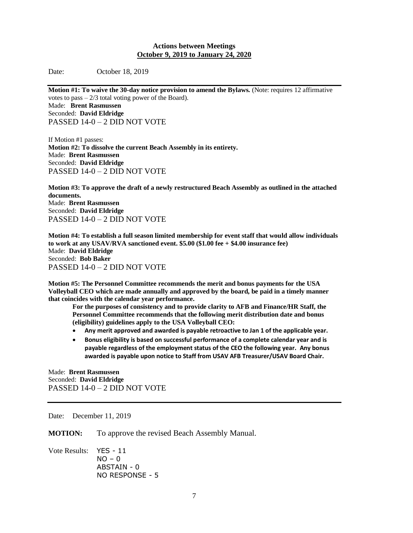# **Actions between Meetings October 9, 2019 to January 24, 2020**

Date: October 18, 2019

**Motion #1: To waive the 30-day notice provision to amend the Bylaws.** (Note: requires 12 affirmative votes to pass  $-2/3$  total voting power of the Board). Made: **Brent Rasmussen** Seconded: **David Eldridge** PASSED 14-0 – 2 DID NOT VOTE

If Motion #1 passes: **Motion #2: To dissolve the current Beach Assembly in its entirety.** Made: **Brent Rasmussen** Seconded: **David Eldridge** PASSED 14-0 – 2 DID NOT VOTE

**Motion #3: To approve the draft of a newly restructured Beach Assembly as outlined in the attached documents.** Made: **Brent Rasmussen** Seconded: **David Eldridge** PASSED 14-0 – 2 DID NOT VOTE

**Motion #4: To establish a full season limited membership for event staff that would allow individuals to work at any USAV/RVA sanctioned event. \$5.00 (\$1.00 fee + \$4.00 insurance fee)** Made: **David Eldridge** Seconded: **Bob Baker** PASSED 14-0 – 2 DID NOT VOTE

**Motion #5: The Personnel Committee recommends the merit and bonus payments for the USA Volleyball CEO which are made annually and approved by the board, be paid in a timely manner that coincides with the calendar year performance.** 

**For the purposes of consistency and to provide clarity to AFB and Finance/HR Staff, the Personnel Committee recommends that the following merit distribution date and bonus (eligibility) guidelines apply to the USA Volleyball CEO:**

- **Any merit approved and awarded is payable retroactive to Jan 1 of the applicable year.**
- **Bonus eligibility is based on successful performance of a complete calendar year and is payable regardless of the employment status of the CEO the following year. Any bonus awarded is payable upon notice to Staff from USAV AFB Treasurer/USAV Board Chair.**

Made: **Brent Rasmussen** Seconded: **David Eldridge** PASSED 14-0 – 2 DID NOT VOTE

Date: December 11, 2019

**MOTION:** To approve the revised Beach Assembly Manual.

Vote Results: YES - 11  $NO - 0$ ABSTAIN - 0 NO RESPONSE - 5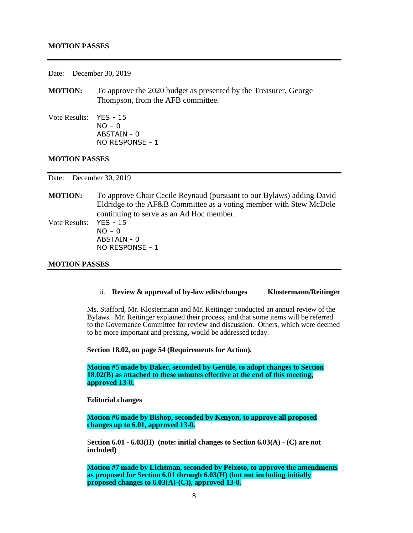# **MOTION PASSES**

Date: December 30, 2019

- **MOTION:** To approve the 2020 budget as presented by the Treasurer, George Thompson, from the AFB committee.
- Vote Results: YES 15  $NO - 0$ ABSTAIN - 0 NO RESPONSE - 1

# **MOTION PASSES**

Date: December 30, 2019

**MOTION:** To approve Chair Cecile Reynaud (pursuant to our Bylaws) adding David Eldridge to the AF&B Committee as a voting member with Stew McDole continuing to serve as an Ad Hoc member. Vote Results: YES - 15  $NO - 0$ ABSTAIN - 0 NO RESPONSE - 1

# **MOTION PASSES**

# ii. **Review & approval of by-law edits/changes Klostermann/Reitinger**

Ms. Stafford, Mr. Klostermann and Mr. Reitinger conducted an annual review of the Bylaws. Mr. Reitinger explained their process, and that some items will be referred to the Governance Committee for review and discussion. Others, which were deemed to be more important and pressing, would be addressed today.

**Section 18.02, on page 54 (Requirements for Action).** 

**Motion #5 made by Baker, seconded by Gentile, to adopt changes to Section 18.02(B) as attached to these minutes effective at the end of this meeting, approved 13-0.**

**Editorial changes**

**Motion #6 made by Bishop, seconded by Kenyon, to approve all proposed changes up to 6.01, approved 13-0.**

S**ection 6.01 - 6.03(H) (note: initial changes to Section 6.03(A) - (C) are not included)**

**Motion #7 made by Lichtman, seconded by Peixoto, to approve the amendments as proposed for Section 6.01 through 6.03(H) (but not including initially proposed changes to 6.03(A)-(C)), approved 13-0.**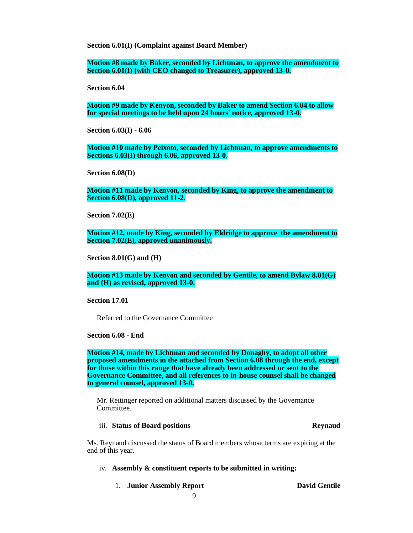**Section 6.01(I) (Complaint against Board Member)**

**Motion #8 made by Baker, seconded by Lichtman, to approve the amendment to Section 6.01(I) (with CEO changed to Treasurer), approved 13-0.**

**Section 6.04**

**Motion #9 made by Kenyon, seconded by Baker to amend Section 6.04 to allow for special meetings to be held upon 24 hours' notice, approved 13-0.**

**Section 6.03(I) - 6.06** 

**Motion #10 made by Peixoto, seconded by Lichtman, to approve amendments to Sections 6.03(I) through 6.06, approved 13-0.**

**Section 6.08(D)**

**Motion #11 made by Kenyon, seconded by King, to approve the amendment to Section 6.08(D), approved 11-2.**

**Section 7.02(E)**

**Motion #12, made by King, seconded by Eldridge to approve the amendment to Section 7.02(E), approved unanimously.**

**Section 8.01(G) and (H)**

**Motion #13 made by Kenyon and seconded by Gentile, to amend Bylaw 8.01(G) and (H) as revised, approved 13-0.**

**Section 17.01**

Referred to the Governance Committee

**Section 6.08 - End**

**Motion #14, made by Lichtman and seconded by Donaghy, to adopt all other proposed amendments in the attached from Section 6.08 through the end, except for those within this range that have already been addressed or sent to the Governance Committee, and all references to in-house counsel shall be changed to general counsel, approved 13-0.**

Mr. Reitinger reported on additional matters discussed by the Governance Committee.

### iii. **Status of Board positions Reynaud**

Ms. Reynaud discussed the status of Board members whose terms are expiring at the end of this year.

# iv. **Assembly & constituent reports to be submitted in writing:**

1. **Junior Assembly Report David Gentile**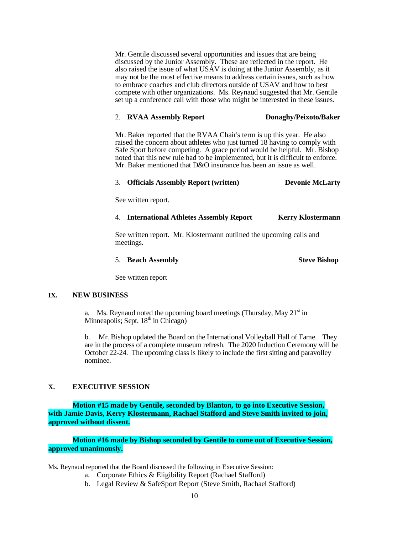Mr. Gentile discussed several opportunities and issues that are being discussed by the Junior Assembly. These are reflected in the report. He also raised the issue of what USAV is doing at the Junior Assembly, as it may not be the most effective means to address certain issues, such as how to embrace coaches and club directors outside of USAV and how to best compete with other organizations. Ms. Reynaud suggested that Mr. Gentile set up a conference call with those who might be interested in these issues.

### 2. **RVAA Assembly Report Donaghy/Peixoto/Baker**

Mr. Baker reported that the RVAA Chair's term is up this year. He also raised the concern about athletes who just turned 18 having to comply with Safe Sport before competing. A grace period would be helpful. Mr. Bishop noted that this new rule had to be implemented, but it is difficult to enforce. Mr. Baker mentioned that D&O insurance has been an issue as well.

# 3. **Officials Assembly Report (written) Devonie McLarty**

See written report.

4. **International Athletes Assembly Report Kerry Klostermann**

See written report. Mr. Klostermann outlined the upcoming calls and meetings.

# 5. **Beach Assembly** Steve Bishop

See written report

### **IX. NEW BUSINESS**

a. Ms. Reynaud noted the upcoming board meetings (Thursday, May  $21<sup>st</sup>$  in Minneapolis; Sept.  $18<sup>th</sup>$  in Chicago)

b. Mr. Bishop updated the Board on the International Volleyball Hall of Fame. They are in the process of a complete museum refresh. The 2020 Induction Ceremony will be October 22-24. The upcoming class is likely to include the first sitting and paravolley nominee.

# **X. EXECUTIVE SESSION**

**Motion #15 made by Gentile, seconded by Blanton, to go into Executive Session, with Jamie Davis, Kerry Klostermann, Rachael Stafford and Steve Smith invited to join, approved without dissent.** 

**Motion #16 made by Bishop seconded by Gentile to come out of Executive Session, approved unanimously.**

Ms. Reynaud reported that the Board discussed the following in Executive Session:

- a. Corporate Ethics & Eligibility Report (Rachael Stafford)
- b. Legal Review & SafeSport Report (Steve Smith, Rachael Stafford)